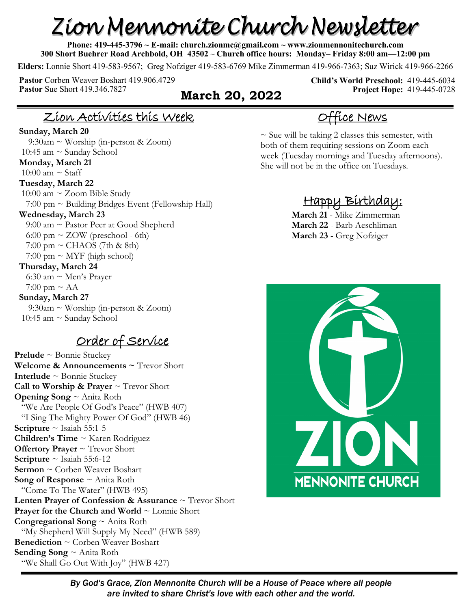# Zion Mennonite Church Newsletter

**Phone: 419-445-3796 ~ E-mail: church.zionmc@gmail.com ~ www.zionmennonitechurch.com 300 Short Buehrer Road Archbold, OH 43502** ~ **Church office hours: Monday– Friday 8:00 am—12:00 pm** 

**Elders:** Lonnie Short 419-583-9567; Greg Nofziger 419-583-6769 Mike Zimmerman 419-966-7363; Suz Wirick 419-966-2266

**Pastor** Corben Weaver Boshart 419.906.4729 **Pastor** Sue Short 419.346.7827 **March 20, 2022** 

**Child's World Preschool:** 419-445-6034 **Project Hope:** 419-445-0728

#### Zion Activities this Week

#### **Sunday, March 20**

 9:30am ~ Worship (in-person & Zoom) 10:45 am ~ Sunday School **Monday, March 21** 10:00 am  $\sim$  Staff **Tuesday, March 22** 10:00 am  $\sim$  Zoom Bible Study  $7:00 \text{ pm} \sim$  Building Bridges Event (Fellowship Hall) **Wednesday, March 23** 9:00 am ~ Pastor Peer at Good Shepherd 6:00 pm  $\sim$  ZOW (preschool - 6th)  $7:00 \text{ pm} \sim \text{CHAOS}$  (7th & 8th)  $7:00 \text{ pm} \sim \text{MYF}$  (high school) **Thursday, March 24** 6:30 am ~ Men's Prayer  $7:00 \text{ pm} \sim \text{AA}$ **Sunday, March 27** 9:30am ~ Worship (in-person & Zoom) 10:45 am ~ Sunday School

#### Order of Service

**Prelude** ~ Bonnie Stuckey **Welcome & Announcements ~** Trevor Short **Interlude** ~ Bonnie Stuckey **Call to Worship & Prayer** ~ Trevor Short **Opening Song** ~ Anita Roth "We Are People Of God's Peace" (HWB 407) "I Sing The Mighty Power Of God" (HWB 46) **Scripture**  $\sim$  Isaiah 55:1-5 **Children's Time** ~ Karen Rodriguez **Offertory Prayer** ~ Trevor Short **Scripture** ~ Isaiah 55:6-12 **Sermon** ~ Corben Weaver Boshart **Song of Response** ~ Anita Roth "Come To The Water" (HWB 495) **Lenten Prayer of Confession & Assurance** ~ Trevor Short **Prayer for the Church and World** ~ Lonnie Short **Congregational Song** ~ Anita Roth "My Shepherd Will Supply My Need" (HWB 589) **Benediction** ~ Corben Weaver Boshart **Sending Song** ~ Anita Roth "We Shall Go Out With Joy" (HWB 427)

#### Office News

 $\sim$  Sue will be taking 2 classes this semester, with both of them requiring sessions on Zoom each week (Tuesday mornings and Tuesday afternoons). She will not be in the office on Tuesdays.

### Happy Birthday:

**March 21** - Mike Zimmerman **March 22** - Barb Aeschliman **March 23** - Greg Nofziger



*By God's Grace, Zion Mennonite Church will be a House of Peace where all people are invited to share Christ's love with each other and the world.*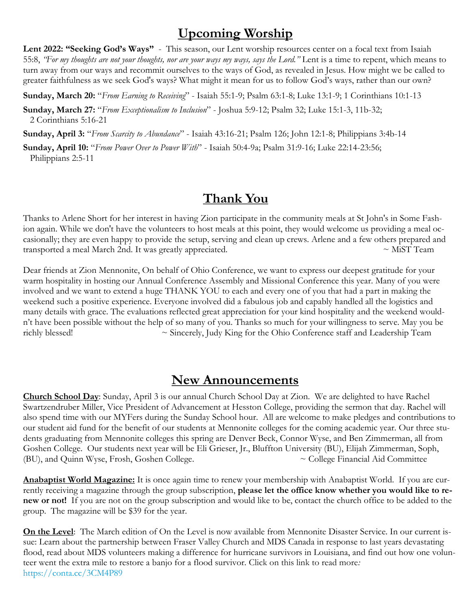#### **Upcoming Worship**

Lent 2022: "Seeking God's Ways" - This season, our Lent worship resources center on a focal text from Isaiah 55:8, *"For my thoughts are not your thoughts, nor are your ways my ways, says the Lord."* Lent is a time to repent, which means to turn away from our ways and recommit ourselves to the ways of God, as revealed in Jesus. How might we be called to greater faithfulness as we seek God's ways? What might it mean for us to follow God's ways, rather than our own?

**Sunday, March 20:** "*From Earning to Receiving*" - Isaiah 55:1-9; Psalm 63:1-8; Luke 13:1-9; 1 Corinthians 10:1-13

**Sunday, March 27:** "*From Exceptionalism to Inclusion*" - Joshua 5:9-12; Psalm 32; Luke 15:1-3, 11b-32; 2 Corinthians 5:16-21

**Sunday, April 3:** "*From Scarcity to Abundance*" - Isaiah 43:16-21; Psalm 126; John 12:1-8; Philippians 3:4b-14

**Sunday, April 10:** "*From Power Over to Power With*" - Isaiah 50:4-9a; Psalm 31:9-16; Luke 22:14-23:56; Philippians 2:5-11

#### **Thank You**

Thanks to Arlene Short for her interest in having Zion participate in the community meals at St John's in Some Fashion again. While we don't have the volunteers to host meals at this point, they would welcome us providing a meal occasionally; they are even happy to provide the setup, serving and clean up crews. Arlene and a few others prepared and transported a meal March 2nd. It was greatly appreciated.  $\sim$  MiST Team

Dear friends at Zion Mennonite, On behalf of Ohio Conference, we want to express our deepest gratitude for your warm hospitality in hosting our Annual Conference Assembly and Missional Conference this year. Many of you were involved and we want to extend a huge THANK YOU to each and every one of you that had a part in making the weekend such a positive experience. Everyone involved did a fabulous job and capably handled all the logistics and many details with grace. The evaluations reflected great appreciation for your kind hospitality and the weekend wouldn't have been possible without the help of so many of you. Thanks so much for your willingness to serve. May you be richly blessed! ~ Sincerely, Judy King for the Ohio Conference staff and Leadership Team

#### **New Announcements**

**Church School Day**: Sunday, April 3 is our annual Church School Day at Zion. We are delighted to have Rachel Swartzendruber Miller, Vice President of Advancement at Hesston College, providing the sermon that day. Rachel will also spend time with our MYFers during the Sunday School hour. All are welcome to make pledges and contributions to our student aid fund for the benefit of our students at Mennonite colleges for the coming academic year. Our three students graduating from Mennonite colleges this spring are Denver Beck, Connor Wyse, and Ben Zimmerman, all from Goshen College. Our students next year will be Eli Grieser, Jr., Bluffton University (BU), Elijah Zimmerman, Soph, (BU), and Quinn Wyse, Frosh, Goshen College. ~ College Financial Aid Committee

**Anabaptist World Magazine:** It is once again time to renew your membership with Anabaptist World. If you are currently receiving a magazine through the group subscription, **please let the office know whether you would like to renew or not!** If you are not on the group subscription and would like to be, contact the church office to be added to the group. The magazine will be \$39 for the year.

**On the Level**: The March edition of On the Level is now available from Mennonite Disaster Service. In our current issue: Learn about the partnership between Fraser Valley Church and MDS Canada in response to last years devastating flood, read about MDS volunteers making a difference for hurricane survivors in Louisiana, and find out how one volunteer went the extra mile to restore a banjo for a flood survivor. Click on this link to read more*:*  [https://conta.cc/3CM4P89](https://r20.rs6.net/tn.jsp?f=001AyFwi81xn3Db1zUapn8E710HwAy9PLYzoDQ0CgYjWclyhVVWJHqCvEksZMT71Rh0AiiSf7YGlDM-2O8oDCbFJcFwE8z_52aJZp91c5azHNywbuoj7hQF2mWtXwOfbnkG0zUbp_FMogQUkIcQ_Kse_Q==&c=kSVbhvAcpvhNtjMAME8NUD2L32a00wa83tJpRvr65WFe8djJTT9kww==&ch=MOzamImRWBn7)